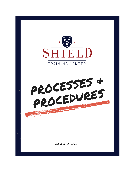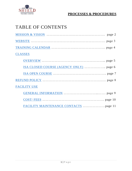

## TABLE OF CONTENTS

<span id="page-1-0"></span>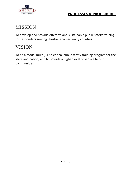

## MISSION

To develop and provide effective and sustainable public safety training for responders serving Shasta-Tehama-Trinity counties.

### VISION

To be a model multi-jurisdictional public safety training program for the state and nation, and to provide a higher level of service to our communities.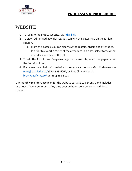

### <span id="page-3-0"></span>**WEBSITE**

- 1. To login to the SHIELD website, visit [this link.](https://shield.training/wp-login.php?redirect_to=https%3A%2F%2Fshield.training%2Fwp-admin%2F&reauth=1)
- 2. To view, edit or add new classes, you can visit the classes tab on the far left column.
	- a. From the classes, you can also view the rosters, orders and attendees. In order to export a roster of the attendees in a class, select to view the attendees and export the list.
- 3. To edit the About Us or Programs page on the website, select the pages tab on the far left column.
- 4. If you ever need help with website issues, you can contact Matt Christensen at [matt@pacificsky.co/](mailto:matt@pacificsky.co/) (530) 999-6067, or Bret Christensen at [bret@pacificsky.co/](mailto:bret@pacificsky.co/) or (530) 638-8198.

Our monthly maintenance plan for the website costs \$110 per onth, and includes one hour of work per month. Any time over an hour spent comes at additional charge.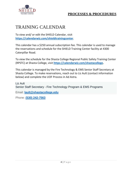

## <span id="page-4-0"></span>TRAINING CALENDAR

To view and/ or edit the SHIELD Calendar, visit **[https://calendarwiz.com/shieldtrainingcenter](https://www.calendarwiz.com/shieldtrainingcenter)**.

This calendar has a \$250 annual subscription fee. This calendar is used to manage the reservations and schedule for the SHIELD Training Center facility at 4300 Caterpillar Road.

To view the schedule for the Shasta College Regional Public Safety Training Center (RPSTC) at Shasta College, visit **[https://calendarwiz.com/shastacollege.](https://calendarwiz.com/shastacollege)** 

This calendar is managed by the Fire Technology & EMS Senior Staff Secretary at Shasta College. To make reservations, reach out to Liz Ault (contact information below) and complete the UOF Process in Ad Astra.

Liz Ault Senior Staff Secretary - Fire Technology Program & EMS Programs

Email: **[lault@shastacollege.edu](mailto:lault@shastacollege.edu)**

Phone: **[\(530\) 242-7563](tel:5302427563)**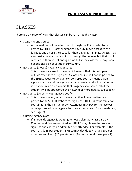



## <span id="page-5-0"></span>CLASSES

There are a variety of ways that classes can be run through SHIELD.

- Stand Alone Course
	- o A course does not have to b held through the ISA in order to be hosted by SHIELD. Partner agencies have unlimited access to the facilities and ay use the space for their ongoing trainings. SHIELD may also host a course that is not run through the college, but that is still certified, if there is not enough time to list the class for 30 days or a needed class is not set up in curriculum.
- ISA Course (Closed) Agency Sponsored
	- This course is a closed course, which means that it is not open to outside attendees or sign-ups. A closed course will not be posted to the SHIELD website. An agency sponsored course means that it is agency specific and the agency has a full roster and will provide the instructor. In a closed course that is agency sponsored, all of the students will be sponsored by SHIELD. (For more details, see page 6)
- ISA Course (Open) Not Agency Specific
	- o This course is open, which means that it will be advertised and posted to the SHIELD website for sign-ups. SHIELD is responsible for coordinating the instructor etc. Attendees may pay for themselves, or be sponsored by an agency for their attendance. (For more details, see page 7)
- Outside Agency Class
	- o If an outside agency is wanting to host a class at SHIELD, a UOF Contract and Fee are required, or SHIELD may choose to process sign-ups and charge an admin fee per attendee. For example, if the course is \$125 per student, SHIELD may decide to charge \$150 per attendee and keep \$25 per student. (For more details, see page 9)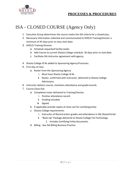

### <span id="page-6-0"></span>ISA - CLOSED COURSE (Agency Only)

- 1. Executive Group determines the course meets the ISA criteria for a closedclass.
- 2. Necessary information collected and communicated to SHIELD Training Director a minimum of 45 days prior to class start date.
- 3. SHIELD Training Director
	- a. Schedule requested facility needs.
	- b. Add Course to current Shasta College schedule. 30 days prior to startdate.
	- c. Facilitate ISA instructor agreement with agency.
- 4. Shasta College ID #s added to Sponsoring Agency Processes.
- 5. First Day of class
	- a. Roster from the Sponsoring Agency
		- i. Must have Shasta College ID #s
		- ii. Roster, confirmed with Instructor, delivered to Shasta College Admissions.
- 6. Instructor delivers course, maintains attendance and graderecords.
- 7. Course Close-Out.
	- a. Completed roster delivered to Training Director.
		- i. Positive attendance record.
		- ii. Grading included.
		- iii. Signed
	- b. If applicable provide copies of close-out for certifyingentity.
	- c. Shasta College requirements.
		- i. Instructor of Record enters grades and attendance in *My Shasta*Portal
		- ii. "Back-Up" Package delivered to Shasta College FireTechnology
			- 1. Includes Certifying Entity documents.
	- d. Billing See ISA Billing Business Practice.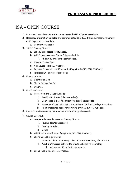

### <span id="page-7-0"></span>ISA - OPEN COURSE

- 1. Executive Group determines the course meets the ISA Open Classcriteria.
- 2. Necessary information collected and communicated to SHIELD TrainingDirector a minimum of 45 days prior to start date.
	- a. Course Worksheet B
- 3. SHIELD Training Director
	- a. Schedule requested facility needs.
	- b. Add Course to current Shasta College schedule
		- i. At least 30 prior to the start of class.
	- c. Develop Course Flyer
	- d. Add Course to SHIELD Website.
	- e. Register Course with certifying entity if applicable (SFT, CSTI, POSTetc.)
	- f. Facilitate ISA Instructor Agreement.
- 4. Flyer Distributed
	- a. Distribution Lists
	- b. Shasta College Fire Tech
	- c. Other(s).
- 5. First Day of class.
	- a. Roster from the SHIELD Website
		- i. Rectify with Shasta College enrollee(s).
		- ii. Open space in class filled from "waitlist" ifappropriate
		- iii. Roster, confirmed with Instructor, delivered to Shasta CollegeAdmissions.
		- iv. Additional roster needs for certifying entity (SFT, CSTI, POSTetc.)
- 6. Instructor delivers course, maintains attendance and graderecords
- 7. Course Close-Out.
	- a. Completed roster delivered to Training Director.
		- i. Positive attendance record.
		- ii. Grading included.
		- iii. Signed
	- b. Additional returns for Certifying Entity (SFT, CSTI, POSTetc.)
	- c. Shasta College requirements.
		- i. Instructor of Record enters grades and attendance in *My Shasta*Portal
		- ii. "Back-Up" Package delivered to Shasta College FireTechnology
			- 1. Includes Certifying Entity documents.
	- d. Billing See Billing Business Practice.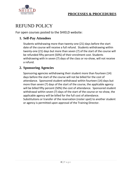



### <span id="page-8-0"></span>REFUND POLICY

For open courses posted to the SHIELD website:

#### **1. Self-Pay Attendees**

Students withdrawing more than twenty-one (21) days before the start date of the course will receive a full refund. Students withdrawing within twenty-one (21) days but more than seven (7) of the start of the course will be refunded fifty percent (50%) of their enrolment cost. Students withdrawing with in seven (7) days of the class or no-show, will not receive a refund.

#### **2. Sponsoring Agencies**

Sponsoring agencies withdrawing their student more than fourteen (14) days before the start of the course will not be billed for the cost of attendance. Sponsored student withdrawal within fourteen (14) days but more than seven (7) days of the start of the course, the applicable agency will be billed fifty percent (50%) the cost of attendance. Sponsored student withdrawal within seven (7) days of the start of the course or no-show, the applicable agency will be billed for the full cost of attendance. Substitutions or transfer of the reservation (roster spot) to another student or agency is permitted upon approval of the Training Director.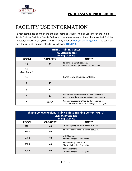

# <span id="page-9-0"></span>FACILITY USE INFORMATION

To request the use of one of the training rooms at SHIELD Training Center or at the Public Safety Training Facility at Shasta College or if you have any questions, please contact Training Director, Kamari Zoll, at (530) 722-5534 or by email at [kzoll@shatacollege.edu.](mailto:kzoll@shatacollege.edu) You can also view the current Training Calendar by following [THIS LINK.](https://www.calendarwiz.com/calendars/calendar.php?crd=shieldtrainingcenter&)

| <b>SHIELD Training Center</b><br><b>4300 Caterpillar Road</b><br>Redding, CA 96003 |                 |                                                                                                     |  |  |  |
|------------------------------------------------------------------------------------|-----------------|-----------------------------------------------------------------------------------------------------|--|--|--|
| <b>ROOM</b>                                                                        | <b>CAPACITY</b> | <b>NOTES</b>                                                                                        |  |  |  |
| 1A                                                                                 | 30              | LE partners have first rights.<br>Contains Force Option Simulator Machine.                          |  |  |  |
| 1B<br>(Mat Room)                                                                   |                 |                                                                                                     |  |  |  |
| 1 <sup>C</sup>                                                                     |                 | Force Options Simulator Room                                                                        |  |  |  |
| $\overline{2}$                                                                     | 40              |                                                                                                     |  |  |  |
| 3                                                                                  | 24              |                                                                                                     |  |  |  |
| $\overline{4}$                                                                     | 32              | Cannot request more than 30 days in advance.<br>CAL FIRE Northern Region Training has first rights. |  |  |  |
| 5                                                                                  | 40-50           | Cannot request more than 30 days in advance.<br>CAL FIRE Northern Region Training has first rights. |  |  |  |

| <b>Shasta College Regional Public Safety Training Center (RPSTC)</b><br>11555 Old Oregon Trail<br>Redding, CA 96003 |                 |                                                            |  |  |  |
|---------------------------------------------------------------------------------------------------------------------|-----------------|------------------------------------------------------------|--|--|--|
| <b>ROOM</b>                                                                                                         | <b>CAPACITY</b> | <b>NOTES</b>                                               |  |  |  |
| 6101                                                                                                                | 40              | SHIELD Agency Partners have first rights.                  |  |  |  |
| 6102                                                                                                                | 40              | SHIELD Agency Partners have first rights.                  |  |  |  |
| 6013                                                                                                                | 40              | AOJ Classroom<br>Shasta College has first rights.          |  |  |  |
| 6008                                                                                                                | 40              | Fire Academy Classroom<br>Shasta College has first rights. |  |  |  |
| 6009                                                                                                                | 40              | <b>EMT Classroom</b><br>Shasta College has first rights.   |  |  |  |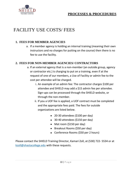

## <span id="page-10-0"></span>FACILITY USE COSTS/ FEES

#### **1. FEES FOR MEMBER AGENCIES**

a. If a member agency is holding an internal training (meaning their own instructors and no charges for putting on the course) then there is no fee to use the facility.

#### **2. FEES FOR NON-MEMBER AGENCIES/ CONTRACTORS**

- a. If an external agency that is a non-member (an outside group, agency or contractor etc.) is charging to put on a training, even if at the request of one of our members, a Use of Facility or admin fee to the cost per attendee will be charged.
	- i. An example of an admin fee: The contractor charges \$100 per attendee and SHIELD may add a \$15 admin fee per attendee. Sign-ups can be processed through the SHIELD website, or through the non-member.
	- ii. If you a UOF fee is applied, a UOF contract must be completed and the appropriate fees paid. The fees for outside organizations are listed below.
		- 20-30 attendees (\$100 per day)
		- 30-40 attendees (\$150 per day)
		- Mat room (\$150 per day)
		- Breakout Rooms (\$50 per day)
		- Conference Rooms (\$50 per 2 hours)

Please contact the SHIELD Training Director, Kamari Zoll, at (530) 722- 5534 or at [kzoll@shastacollege.edu](mailto:kzoll@shastacollege.edu) with these requests.